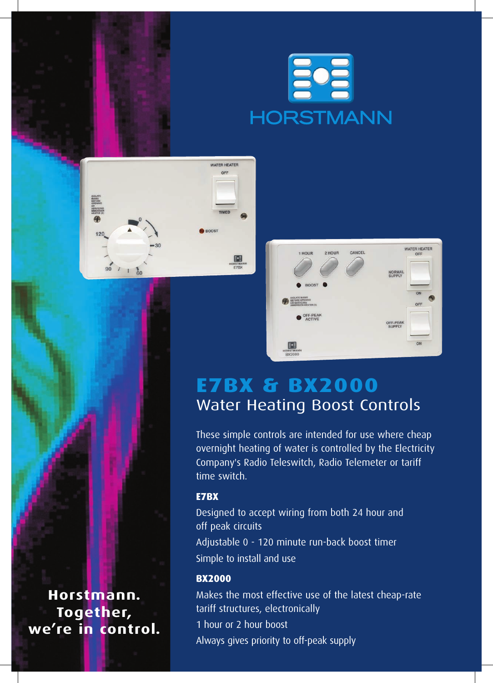





## **e7bx & bx2000** Water Heating Boost Controls

These simple controls are intended for use where cheap overnight heating of water is controlled by the Electricity Company's Radio Teleswitch, Radio Telemeter or tariff time switch.

### **E7BX**

Designed to accept wiring from both 24 hour and off peak circuits

Adjustable 0 - 120 minute run-back boost timer Simple to install and use

#### **BX2000**

Makes the most effective use of the latest cheap-rate tariff structures, electronically 1 hour or 2 hour boost

Always gives priority to off-peak supply

**Horstmann. Together, we're in control.**